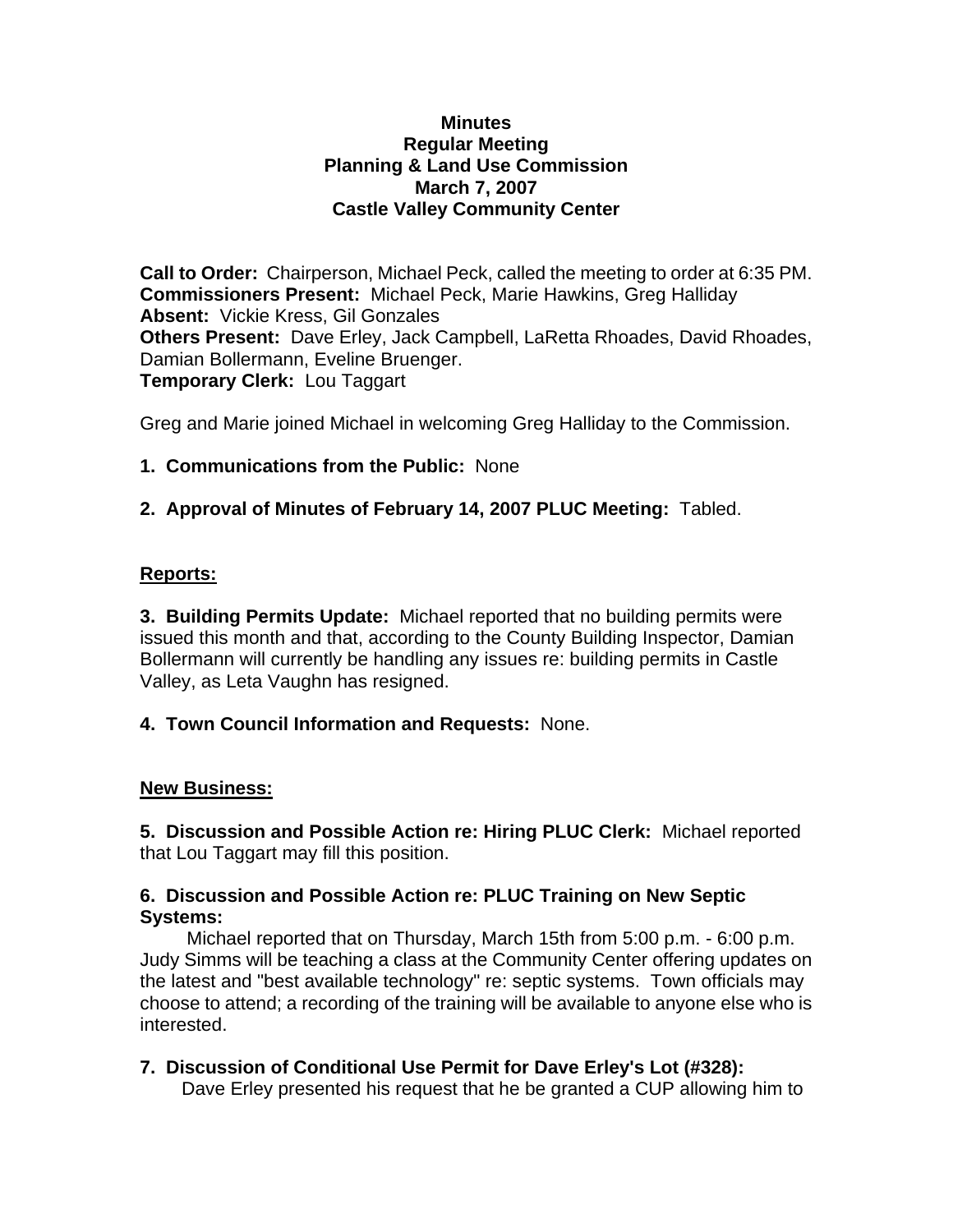#### **Minutes Regular Meeting Planning & Land Use Commission March 7, 2007 Castle Valley Community Center**

**Call to Order:** Chairperson, Michael Peck, called the meeting to order at 6:35 PM. **Commissioners Present:** Michael Peck, Marie Hawkins, Greg Halliday **Absent:** Vickie Kress, Gil Gonzales **Others Present:** Dave Erley, Jack Campbell, LaRetta Rhoades, David Rhoades, Damian Bollermann, Eveline Bruenger. **Temporary Clerk:** Lou Taggart

Greg and Marie joined Michael in welcoming Greg Halliday to the Commission.

# **1. Communications from the Public:** None

### **2. Approval of Minutes of February 14, 2007 PLUC Meeting:** Tabled.

### **Reports:**

**3. Building Permits Update:** Michael reported that no building permits were issued this month and that, according to the County Building Inspector, Damian Bollermann will currently be handling any issues re: building permits in Castle Valley, as Leta Vaughn has resigned.

### **4. Town Council Information and Requests:** None.

### **New Business:**

**5. Discussion and Possible Action re: Hiring PLUC Clerk:** Michael reported that Lou Taggart may fill this position.

### **6. Discussion and Possible Action re: PLUC Training on New Septic Systems:**

Michael reported that on Thursday, March 15th from 5:00 p.m. - 6:00 p.m. Judy Simms will be teaching a class at the Community Center offering updates on the latest and "best available technology" re: septic systems. Town officials may choose to attend; a recording of the training will be available to anyone else who is interested.

# **7. Discussion of Conditional Use Permit for Dave Erley's Lot (#328):**

Dave Erley presented his request that he be granted a CUP allowing him to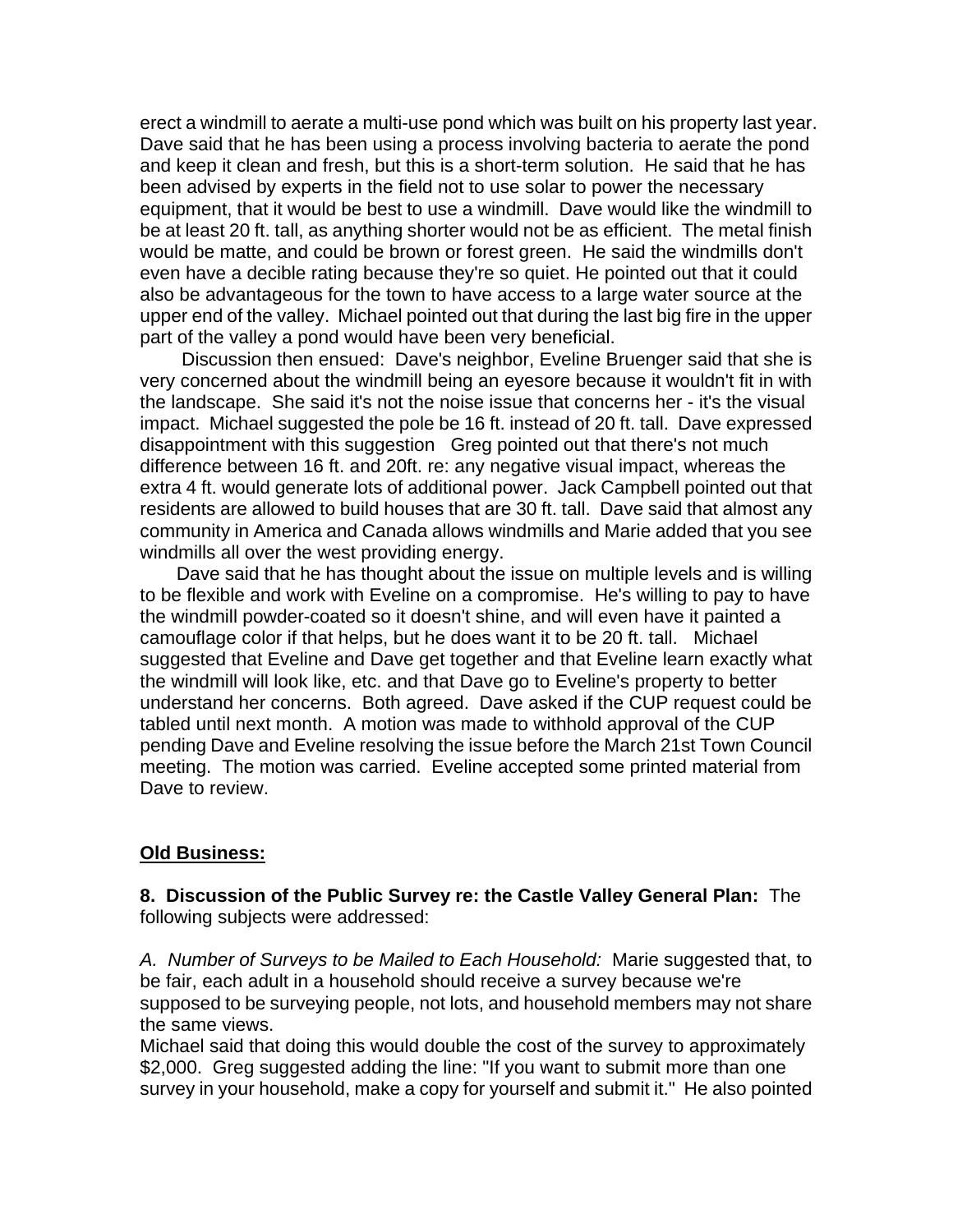erect a windmill to aerate a multi-use pond which was built on his property last year. Dave said that he has been using a process involving bacteria to aerate the pond and keep it clean and fresh, but this is a short-term solution. He said that he has been advised by experts in the field not to use solar to power the necessary equipment, that it would be best to use a windmill. Dave would like the windmill to be at least 20 ft. tall, as anything shorter would not be as efficient. The metal finish would be matte, and could be brown or forest green. He said the windmills don't even have a decible rating because they're so quiet. He pointed out that it could also be advantageous for the town to have access to a large water source at the upper end of the valley. Michael pointed out that during the last big fire in the upper part of the valley a pond would have been very beneficial.

 Discussion then ensued: Dave's neighbor, Eveline Bruenger said that she is very concerned about the windmill being an eyesore because it wouldn't fit in with the landscape. She said it's not the noise issue that concerns her - it's the visual impact. Michael suggested the pole be 16 ft. instead of 20 ft. tall. Dave expressed disappointment with this suggestion Greg pointed out that there's not much difference between 16 ft. and 20ft. re: any negative visual impact, whereas the extra 4 ft. would generate lots of additional power. Jack Campbell pointed out that residents are allowed to build houses that are 30 ft. tall. Dave said that almost any community in America and Canada allows windmills and Marie added that you see windmills all over the west providing energy.

 Dave said that he has thought about the issue on multiple levels and is willing to be flexible and work with Eveline on a compromise. He's willing to pay to have the windmill powder-coated so it doesn't shine, and will even have it painted a camouflage color if that helps, but he does want it to be 20 ft. tall. Michael suggested that Eveline and Dave get together and that Eveline learn exactly what the windmill will look like, etc. and that Dave go to Eveline's property to better understand her concerns. Both agreed. Dave asked if the CUP request could be tabled until next month. A motion was made to withhold approval of the CUP pending Dave and Eveline resolving the issue before the March 21st Town Council meeting. The motion was carried. Eveline accepted some printed material from Dave to review.

### **Old Business:**

**8. Discussion of the Public Survey re: the Castle Valley General Plan:** The following subjects were addressed:

*A. Number of Surveys to be Mailed to Each Household:* Marie suggested that, to be fair, each adult in a household should receive a survey because we're supposed to be surveying people, not lots, and household members may not share the same views.

Michael said that doing this would double the cost of the survey to approximately \$2,000. Greg suggested adding the line: "If you want to submit more than one survey in your household, make a copy for yourself and submit it." He also pointed